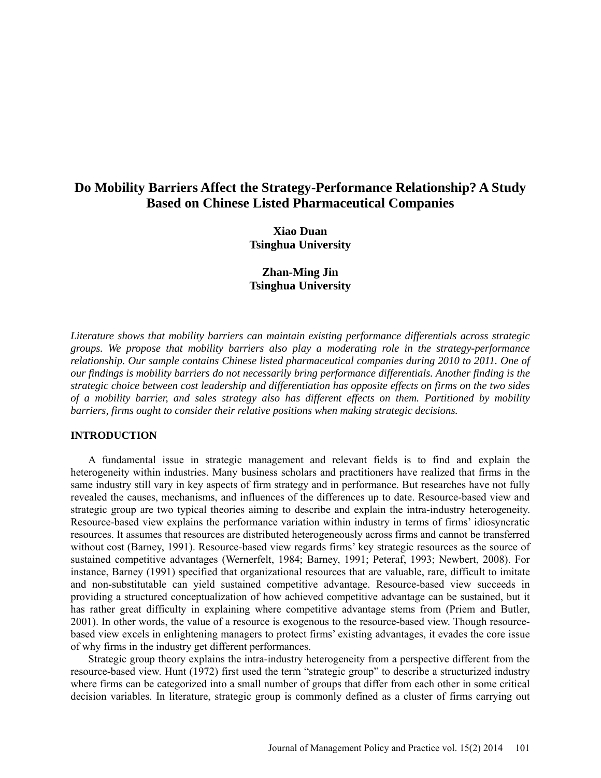# **Do Mobility Barriers Affect the Strategy-Performance Relationship? A Study Based on Chinese Listed Pharmaceutical Companies**

**Xiao Duan Tsinghua University**

**Zhan-Ming Jin Tsinghua University**

*Literature shows that mobility barriers can maintain existing performance differentials across strategic groups. We propose that mobility barriers also play a moderating role in the strategy-performance relationship. Our sample contains Chinese listed pharmaceutical companies during 2010 to 2011. One of our findings is mobility barriers do not necessarily bring performance differentials. Another finding is the strategic choice between cost leadership and differentiation has opposite effects on firms on the two sides of a mobility barrier, and sales strategy also has different effects on them. Partitioned by mobility barriers, firms ought to consider their relative positions when making strategic decisions.*

#### **INTRODUCTION**

A fundamental issue in strategic management and relevant fields is to find and explain the heterogeneity within industries. Many business scholars and practitioners have realized that firms in the same industry still vary in key aspects of firm strategy and in performance. But researches have not fully revealed the causes, mechanisms, and influences of the differences up to date. Resource-based view and strategic group are two typical theories aiming to describe and explain the intra-industry heterogeneity. Resource-based view explains the performance variation within industry in terms of firms' idiosyncratic resources. It assumes that resources are distributed heterogeneously across firms and cannot be transferred without cost (Barney, 1991). Resource-based view regards firms' key strategic resources as the source of sustained competitive advantages (Wernerfelt, 1984; Barney, 1991; Peteraf, 1993; Newbert, 2008). For instance, Barney (1991) specified that organizational resources that are valuable, rare, difficult to imitate and non-substitutable can yield sustained competitive advantage. Resource-based view succeeds in providing a structured conceptualization of how achieved competitive advantage can be sustained, but it has rather great difficulty in explaining where competitive advantage stems from (Priem and Butler, 2001). In other words, the value of a resource is exogenous to the resource-based view. Though resourcebased view excels in enlightening managers to protect firms' existing advantages, it evades the core issue of why firms in the industry get different performances.

Strategic group theory explains the intra-industry heterogeneity from a perspective different from the resource-based view. Hunt (1972) first used the term "strategic group" to describe a structurized industry where firms can be categorized into a small number of groups that differ from each other in some critical decision variables. In literature, strategic group is commonly defined as a cluster of firms carrying out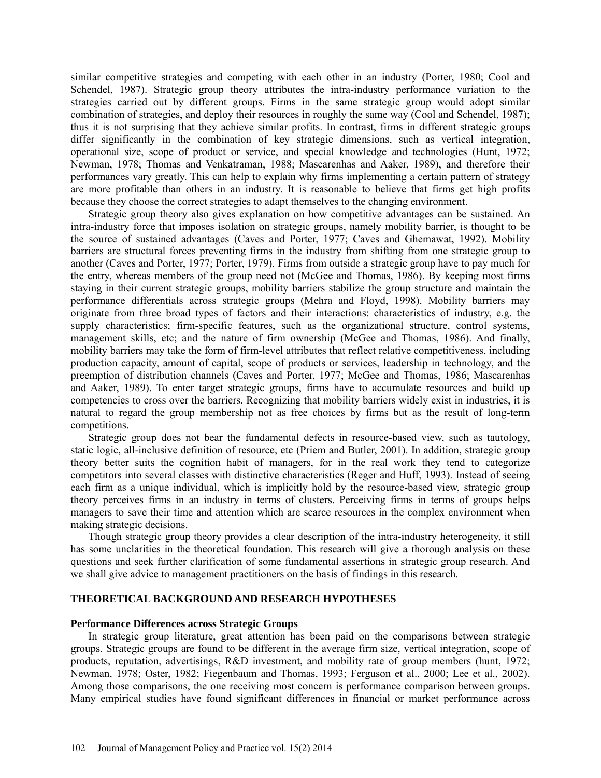similar competitive strategies and competing with each other in an industry (Porter, 1980; Cool and Schendel, 1987). Strategic group theory attributes the intra-industry performance variation to the strategies carried out by different groups. Firms in the same strategic group would adopt similar combination of strategies, and deploy their resources in roughly the same way (Cool and Schendel, 1987); thus it is not surprising that they achieve similar profits. In contrast, firms in different strategic groups differ significantly in the combination of key strategic dimensions, such as vertical integration, operational size, scope of product or service, and special knowledge and technologies (Hunt, 1972; Newman, 1978; Thomas and Venkatraman, 1988; Mascarenhas and Aaker, 1989), and therefore their performances vary greatly. This can help to explain why firms implementing a certain pattern of strategy are more profitable than others in an industry. It is reasonable to believe that firms get high profits because they choose the correct strategies to adapt themselves to the changing environment.

Strategic group theory also gives explanation on how competitive advantages can be sustained. An intra-industry force that imposes isolation on strategic groups, namely mobility barrier, is thought to be the source of sustained advantages (Caves and Porter, 1977; Caves and Ghemawat, 1992). Mobility barriers are structural forces preventing firms in the industry from shifting from one strategic group to another (Caves and Porter, 1977; Porter, 1979). Firms from outside a strategic group have to pay much for the entry, whereas members of the group need not (McGee and Thomas, 1986). By keeping most firms staying in their current strategic groups, mobility barriers stabilize the group structure and maintain the performance differentials across strategic groups (Mehra and Floyd, 1998). Mobility barriers may originate from three broad types of factors and their interactions: characteristics of industry, e.g. the supply characteristics; firm-specific features, such as the organizational structure, control systems, management skills, etc; and the nature of firm ownership (McGee and Thomas, 1986). And finally, mobility barriers may take the form of firm-level attributes that reflect relative competitiveness, including production capacity, amount of capital, scope of products or services, leadership in technology, and the preemption of distribution channels (Caves and Porter, 1977; McGee and Thomas, 1986; Mascarenhas and Aaker, 1989). To enter target strategic groups, firms have to accumulate resources and build up competencies to cross over the barriers. Recognizing that mobility barriers widely exist in industries, it is natural to regard the group membership not as free choices by firms but as the result of long-term competitions.

Strategic group does not bear the fundamental defects in resource-based view, such as tautology, static logic, all-inclusive definition of resource, etc (Priem and Butler, 2001). In addition, strategic group theory better suits the cognition habit of managers, for in the real work they tend to categorize competitors into several classes with distinctive characteristics (Reger and Huff, 1993). Instead of seeing each firm as a unique individual, which is implicitly hold by the resource-based view, strategic group theory perceives firms in an industry in terms of clusters. Perceiving firms in terms of groups helps managers to save their time and attention which are scarce resources in the complex environment when making strategic decisions.

Though strategic group theory provides a clear description of the intra-industry heterogeneity, it still has some unclarities in the theoretical foundation. This research will give a thorough analysis on these questions and seek further clarification of some fundamental assertions in strategic group research. And we shall give advice to management practitioners on the basis of findings in this research.

## **THEORETICAL BACKGROUND AND RESEARCH HYPOTHESES**

#### **Performance Differences across Strategic Groups**

In strategic group literature, great attention has been paid on the comparisons between strategic groups. Strategic groups are found to be different in the average firm size, vertical integration, scope of products, reputation, advertisings, R&D investment, and mobility rate of group members (hunt, 1972; Newman, 1978; Oster, 1982; Fiegenbaum and Thomas, 1993; Ferguson et al., 2000; Lee et al., 2002). Among those comparisons, the one receiving most concern is performance comparison between groups. Many empirical studies have found significant differences in financial or market performance across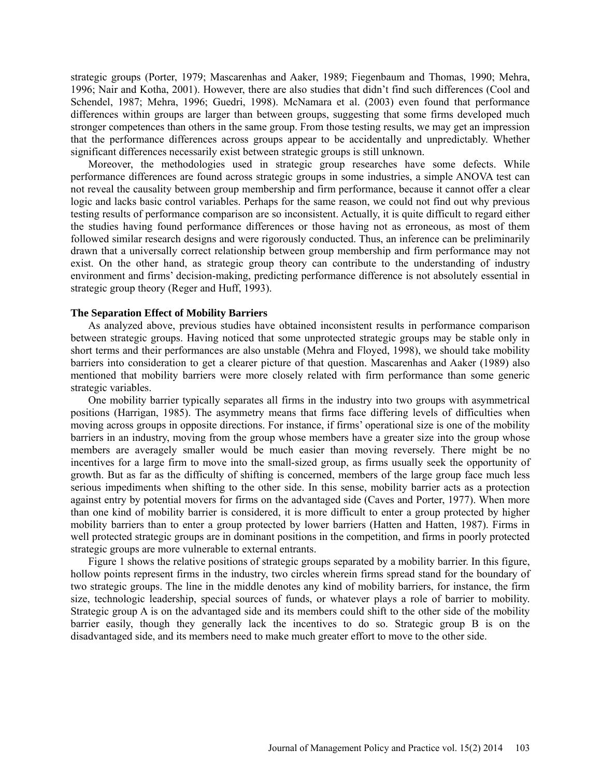strategic groups (Porter, 1979; Mascarenhas and Aaker, 1989; Fiegenbaum and Thomas, 1990; Mehra, 1996; Nair and Kotha, 2001). However, there are also studies that didn't find such differences (Cool and Schendel, 1987; Mehra, 1996; Guedri, 1998). McNamara et al. (2003) even found that performance differences within groups are larger than between groups, suggesting that some firms developed much stronger competences than others in the same group. From those testing results, we may get an impression that the performance differences across groups appear to be accidentally and unpredictably. Whether significant differences necessarily exist between strategic groups is still unknown.

Moreover, the methodologies used in strategic group researches have some defects. While performance differences are found across strategic groups in some industries, a simple ANOVA test can not reveal the causality between group membership and firm performance, because it cannot offer a clear logic and lacks basic control variables. Perhaps for the same reason, we could not find out why previous testing results of performance comparison are so inconsistent. Actually, it is quite difficult to regard either the studies having found performance differences or those having not as erroneous, as most of them followed similar research designs and were rigorously conducted. Thus, an inference can be preliminarily drawn that a universally correct relationship between group membership and firm performance may not exist. On the other hand, as strategic group theory can contribute to the understanding of industry environment and firms' decision-making, predicting performance difference is not absolutely essential in strategic group theory (Reger and Huff, 1993).

## **The Separation Effect of Mobility Barriers**

As analyzed above, previous studies have obtained inconsistent results in performance comparison between strategic groups. Having noticed that some unprotected strategic groups may be stable only in short terms and their performances are also unstable (Mehra and Floyed, 1998), we should take mobility barriers into consideration to get a clearer picture of that question. Mascarenhas and Aaker (1989) also mentioned that mobility barriers were more closely related with firm performance than some generic strategic variables.

One mobility barrier typically separates all firms in the industry into two groups with asymmetrical positions (Harrigan, 1985). The asymmetry means that firms face differing levels of difficulties when moving across groups in opposite directions. For instance, if firms' operational size is one of the mobility barriers in an industry, moving from the group whose members have a greater size into the group whose members are averagely smaller would be much easier than moving reversely. There might be no incentives for a large firm to move into the small-sized group, as firms usually seek the opportunity of growth. But as far as the difficulty of shifting is concerned, members of the large group face much less serious impediments when shifting to the other side. In this sense, mobility barrier acts as a protection against entry by potential movers for firms on the advantaged side (Caves and Porter, 1977). When more than one kind of mobility barrier is considered, it is more difficult to enter a group protected by higher mobility barriers than to enter a group protected by lower barriers (Hatten and Hatten, 1987). Firms in well protected strategic groups are in dominant positions in the competition, and firms in poorly protected strategic groups are more vulnerable to external entrants.

Figure 1 shows the relative positions of strategic groups separated by a mobility barrier. In this figure, hollow points represent firms in the industry, two circles wherein firms spread stand for the boundary of two strategic groups. The line in the middle denotes any kind of mobility barriers, for instance, the firm size, technologic leadership, special sources of funds, or whatever plays a role of barrier to mobility. Strategic group A is on the advantaged side and its members could shift to the other side of the mobility barrier easily, though they generally lack the incentives to do so. Strategic group B is on the disadvantaged side, and its members need to make much greater effort to move to the other side.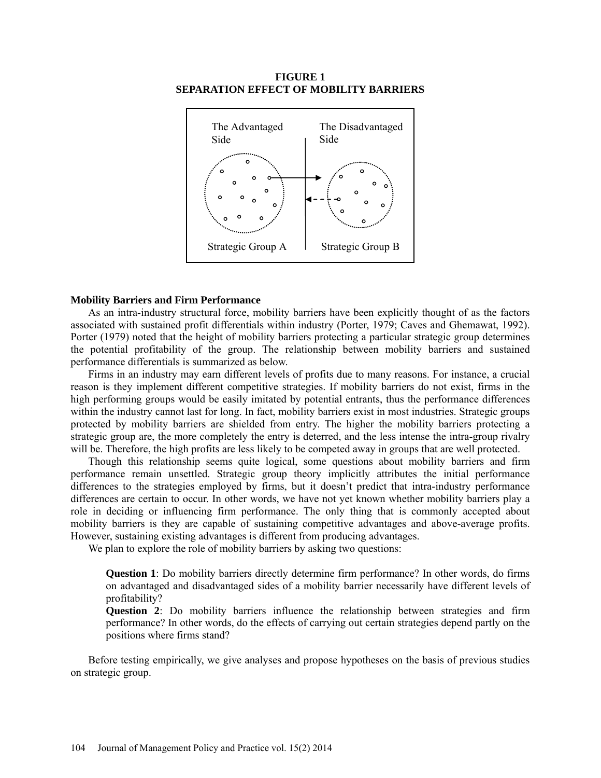#### **FIGURE 1 SEPARATION EFFECT OF MOBILITY BARRIERS**



#### **Mobility Barriers and Firm Performance**

As an intra-industry structural force, mobility barriers have been explicitly thought of as the factors associated with sustained profit differentials within industry (Porter, 1979; Caves and Ghemawat, 1992). Porter (1979) noted that the height of mobility barriers protecting a particular strategic group determines the potential profitability of the group. The relationship between mobility barriers and sustained performance differentials is summarized as below.

Firms in an industry may earn different levels of profits due to many reasons. For instance, a crucial reason is they implement different competitive strategies. If mobility barriers do not exist, firms in the high performing groups would be easily imitated by potential entrants, thus the performance differences within the industry cannot last for long. In fact, mobility barriers exist in most industries. Strategic groups protected by mobility barriers are shielded from entry. The higher the mobility barriers protecting a strategic group are, the more completely the entry is deterred, and the less intense the intra-group rivalry will be. Therefore, the high profits are less likely to be competed away in groups that are well protected.

Though this relationship seems quite logical, some questions about mobility barriers and firm performance remain unsettled. Strategic group theory implicitly attributes the initial performance differences to the strategies employed by firms, but it doesn't predict that intra-industry performance differences are certain to occur. In other words, we have not yet known whether mobility barriers play a role in deciding or influencing firm performance. The only thing that is commonly accepted about mobility barriers is they are capable of sustaining competitive advantages and above-average profits. However, sustaining existing advantages is different from producing advantages.

We plan to explore the role of mobility barriers by asking two questions:

**Question 1**: Do mobility barriers directly determine firm performance? In other words, do firms on advantaged and disadvantaged sides of a mobility barrier necessarily have different levels of profitability?

**Question 2**: Do mobility barriers influence the relationship between strategies and firm performance? In other words, do the effects of carrying out certain strategies depend partly on the positions where firms stand?

Before testing empirically, we give analyses and propose hypotheses on the basis of previous studies on strategic group.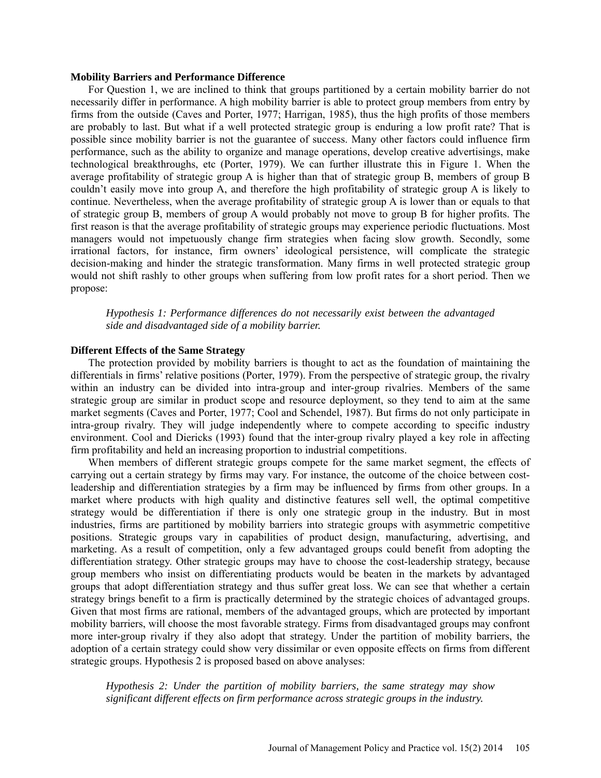#### **Mobility Barriers and Performance Difference**

For Question 1, we are inclined to think that groups partitioned by a certain mobility barrier do not necessarily differ in performance. A high mobility barrier is able to protect group members from entry by firms from the outside (Caves and Porter, 1977; Harrigan, 1985), thus the high profits of those members are probably to last. But what if a well protected strategic group is enduring a low profit rate? That is possible since mobility barrier is not the guarantee of success. Many other factors could influence firm performance, such as the ability to organize and manage operations, develop creative advertisings, make technological breakthroughs, etc (Porter, 1979). We can further illustrate this in Figure 1. When the average profitability of strategic group A is higher than that of strategic group B, members of group B couldn't easily move into group A, and therefore the high profitability of strategic group A is likely to continue. Nevertheless, when the average profitability of strategic group A is lower than or equals to that of strategic group B, members of group A would probably not move to group B for higher profits. The first reason is that the average profitability of strategic groups may experience periodic fluctuations. Most managers would not impetuously change firm strategies when facing slow growth. Secondly, some irrational factors, for instance, firm owners' ideological persistence, will complicate the strategic decision-making and hinder the strategic transformation. Many firms in well protected strategic group would not shift rashly to other groups when suffering from low profit rates for a short period. Then we propose:

*Hypothesis 1: Performance differences do not necessarily exist between the advantaged side and disadvantaged side of a mobility barrier.*

## **Different Effects of the Same Strategy**

The protection provided by mobility barriers is thought to act as the foundation of maintaining the differentials in firms' relative positions (Porter, 1979). From the perspective of strategic group, the rivalry within an industry can be divided into intra-group and inter-group rivalries. Members of the same strategic group are similar in product scope and resource deployment, so they tend to aim at the same market segments (Caves and Porter, 1977; Cool and Schendel, 1987). But firms do not only participate in intra-group rivalry. They will judge independently where to compete according to specific industry environment. Cool and Diericks (1993) found that the inter-group rivalry played a key role in affecting firm profitability and held an increasing proportion to industrial competitions.

When members of different strategic groups compete for the same market segment, the effects of carrying out a certain strategy by firms may vary. For instance, the outcome of the choice between costleadership and differentiation strategies by a firm may be influenced by firms from other groups. In a market where products with high quality and distinctive features sell well, the optimal competitive strategy would be differentiation if there is only one strategic group in the industry. But in most industries, firms are partitioned by mobility barriers into strategic groups with asymmetric competitive positions. Strategic groups vary in capabilities of product design, manufacturing, advertising, and marketing. As a result of competition, only a few advantaged groups could benefit from adopting the differentiation strategy. Other strategic groups may have to choose the cost-leadership strategy, because group members who insist on differentiating products would be beaten in the markets by advantaged groups that adopt differentiation strategy and thus suffer great loss. We can see that whether a certain strategy brings benefit to a firm is practically determined by the strategic choices of advantaged groups. Given that most firms are rational, members of the advantaged groups, which are protected by important mobility barriers, will choose the most favorable strategy. Firms from disadvantaged groups may confront more inter-group rivalry if they also adopt that strategy. Under the partition of mobility barriers, the adoption of a certain strategy could show very dissimilar or even opposite effects on firms from different strategic groups. Hypothesis 2 is proposed based on above analyses:

*Hypothesis 2: Under the partition of mobility barriers, the same strategy may show significant different effects on firm performance across strategic groups in the industry.*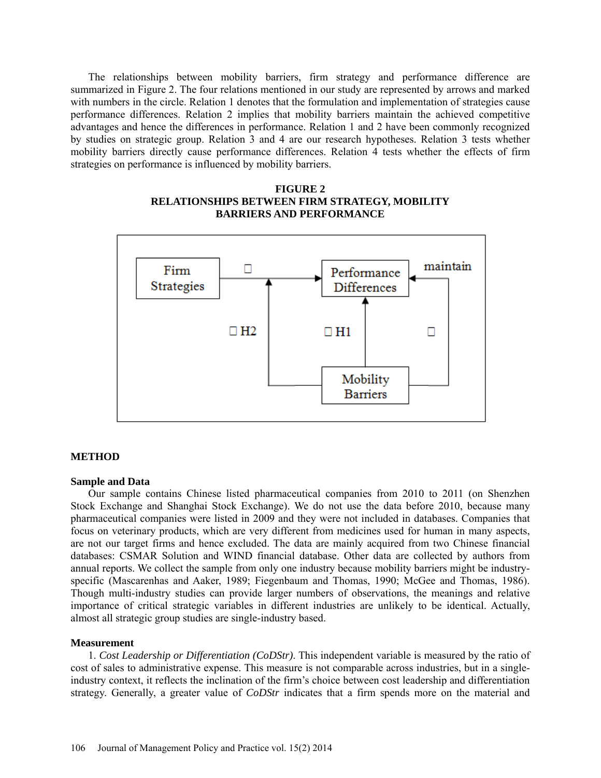The relationships between mobility barriers, firm strategy and performance difference are summarized in Figure 2. The four relations mentioned in our study are represented by arrows and marked with numbers in the circle. Relation 1 denotes that the formulation and implementation of strategies cause performance differences. Relation 2 implies that mobility barriers maintain the achieved competitive advantages and hence the differences in performance. Relation 1 and 2 have been commonly recognized by studies on strategic group. Relation 3 and 4 are our research hypotheses. Relation 3 tests whether mobility barriers directly cause performance differences. Relation 4 tests whether the effects of firm strategies on performance is influenced by mobility barriers.

# **FIGURE 2 RELATIONSHIPS BETWEEN FIRM STRATEGY, MOBILITY BARRIERS AND PERFORMANCE**



#### **METHOD**

#### **Sample and Data**

Our sample contains Chinese listed pharmaceutical companies from 2010 to 2011 (on Shenzhen Stock Exchange and Shanghai Stock Exchange). We do not use the data before 2010, because many pharmaceutical companies were listed in 2009 and they were not included in databases. Companies that focus on veterinary products, which are very different from medicines used for human in many aspects, are not our target firms and hence excluded. The data are mainly acquired from two Chinese financial databases: CSMAR Solution and WIND financial database. Other data are collected by authors from annual reports. We collect the sample from only one industry because mobility barriers might be industryspecific (Mascarenhas and Aaker, 1989; Fiegenbaum and Thomas, 1990; McGee and Thomas, 1986). Though multi-industry studies can provide larger numbers of observations, the meanings and relative importance of critical strategic variables in different industries are unlikely to be identical. Actually, almost all strategic group studies are single-industry based.

#### **Measurement**

1. *Cost Leadership or Differentiation (CoDStr)*. This independent variable is measured by the ratio of cost of sales to administrative expense. This measure is not comparable across industries, but in a singleindustry context, it reflects the inclination of the firm's choice between cost leadership and differentiation strategy. Generally, a greater value of *CoDStr* indicates that a firm spends more on the material and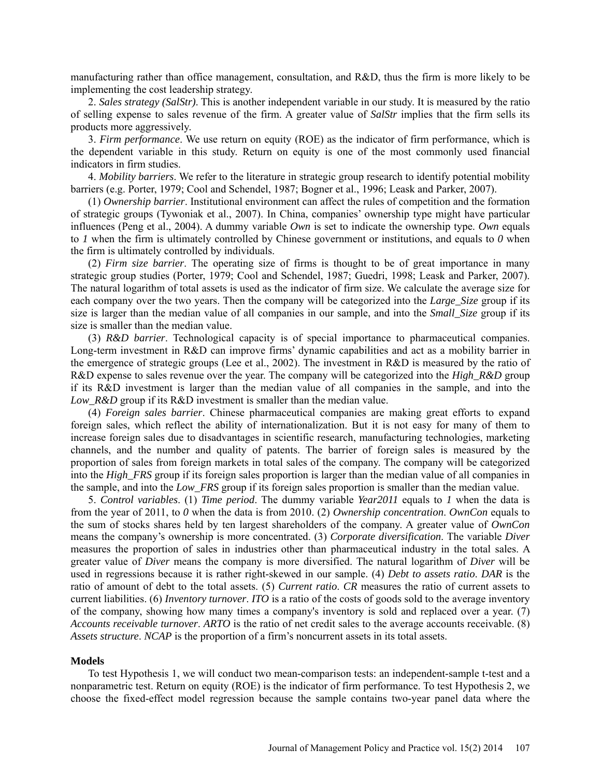manufacturing rather than office management, consultation, and R&D, thus the firm is more likely to be implementing the cost leadership strategy.

2. *Sales strategy (SalStr)*. This is another independent variable in our study. It is measured by the ratio of selling expense to sales revenue of the firm. A greater value of *SalStr* implies that the firm sells its products more aggressively.

3. *Firm performance*. We use return on equity (ROE) as the indicator of firm performance, which is the dependent variable in this study. Return on equity is one of the most commonly used financial indicators in firm studies.

4. *Mobility barriers*. We refer to the literature in strategic group research to identify potential mobility barriers (e.g. Porter, 1979; Cool and Schendel, 1987; Bogner et al., 1996; Leask and Parker, 2007).

(1) *Ownership barrier*. Institutional environment can affect the rules of competition and the formation of strategic groups (Tywoniak et al., 2007). In China, companies' ownership type might have particular influences (Peng et al., 2004). A dummy variable *Own* is set to indicate the ownership type. *Own* equals to *1* when the firm is ultimately controlled by Chinese government or institutions, and equals to *0* when the firm is ultimately controlled by individuals.

(2) *Firm size barrier*. The operating size of firms is thought to be of great importance in many strategic group studies (Porter, 1979; Cool and Schendel, 1987; Guedri, 1998; Leask and Parker, 2007). The natural logarithm of total assets is used as the indicator of firm size. We calculate the average size for each company over the two years. Then the company will be categorized into the *Large* Size group if its size is larger than the median value of all companies in our sample, and into the *Small\_Size* group if its size is smaller than the median value.

(3) *R&D barrier*. Technological capacity is of special importance to pharmaceutical companies. Long-term investment in R&D can improve firms' dynamic capabilities and act as a mobility barrier in the emergence of strategic groups (Lee et al., 2002). The investment in R&D is measured by the ratio of R&D expense to sales revenue over the year. The company will be categorized into the *High R&D* group if its R&D investment is larger than the median value of all companies in the sample, and into the *Low\_R&D* group if its R&D investment is smaller than the median value.

(4) *Foreign sales barrier*. Chinese pharmaceutical companies are making great efforts to expand foreign sales, which reflect the ability of internationalization. But it is not easy for many of them to increase foreign sales due to disadvantages in scientific research, manufacturing technologies, marketing channels, and the number and quality of patents. The barrier of foreign sales is measured by the proportion of sales from foreign markets in total sales of the company. The company will be categorized into the *High\_FRS* group if its foreign sales proportion is larger than the median value of all companies in the sample, and into the *Low\_FRS* group if its foreign sales proportion is smaller than the median value.

5. *Control variables*. (1) *Time period*. The dummy variable *Year2011* equals to *1* when the data is from the year of 2011, to *0* when the data is from 2010. (2) *Ownership concentration*. *OwnCon* equals to the sum of stocks shares held by ten largest shareholders of the company. A greater value of *OwnCon* means the company's ownership is more concentrated. (3) *Corporate diversification*. The variable *Diver* measures the proportion of sales in industries other than pharmaceutical industry in the total sales. A greater value of *Diver* means the company is more diversified. The natural logarithm of *Diver* will be used in regressions because it is rather right-skewed in our sample. (4) *Debt to assets ratio*. *DAR* is the ratio of amount of debt to the total assets. (5) *Current ratio*. *CR* measures the ratio of current assets to current liabilities. (6) *Inventory turnover*. *ITO* is a ratio of the costs of goods sold to the average inventory of the company, showing how many times a company's inventory is sold and replaced over a year. (7) *Accounts receivable turnover*. *ARTO* is the ratio of net credit sales to the average accounts receivable. (8) *Assets structure*. *NCAP* is the proportion of a firm's noncurrent assets in its total assets.

#### **Models**

To test Hypothesis 1, we will conduct two mean-comparison tests: an independent-sample t-test and a nonparametric test. Return on equity (ROE) is the indicator of firm performance. To test Hypothesis 2, we choose the fixed-effect model regression because the sample contains two-year panel data where the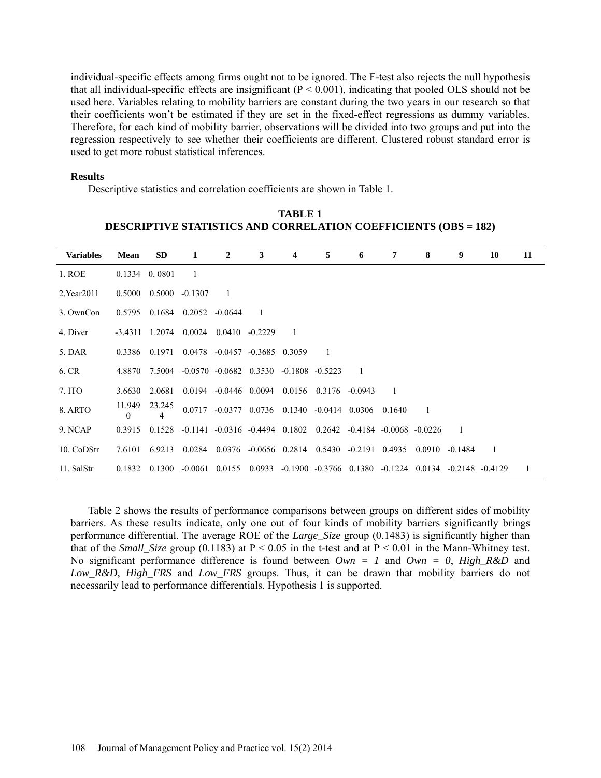individual-specific effects among firms ought not to be ignored. The F-test also rejects the null hypothesis that all individual-specific effects are insignificant  $(P < 0.001)$ , indicating that pooled OLS should not be used here. Variables relating to mobility barriers are constant during the two years in our research so that their coefficients won't be estimated if they are set in the fixed-effect regressions as dummy variables. Therefore, for each kind of mobility barrier, observations will be divided into two groups and put into the regression respectively to see whether their coefficients are different. Clustered robust standard error is used to get more robust statistical inferences.

#### **Results**

Descriptive statistics and correlation coefficients are shown in Table 1.

| <b>Variables</b> | <b>Mean</b> | <b>SD</b>                   | 1                                                                                                                 | $\overline{2}$                              | 3 | 4              | 5 | 6 | 7      | 8      | 9                        | 10 | 11 |
|------------------|-------------|-----------------------------|-------------------------------------------------------------------------------------------------------------------|---------------------------------------------|---|----------------|---|---|--------|--------|--------------------------|----|----|
| 1. ROE           |             | $0.1334 \quad 0.0801$       | -1                                                                                                                |                                             |   |                |   |   |        |        |                          |    |    |
| $2.$ Year $2011$ |             | $0.5000$ $0.5000$ $-0.1307$ |                                                                                                                   | $\overline{1}$                              |   |                |   |   |        |        |                          |    |    |
| 3. OwnCon        | 0.5795      |                             | $0.1684$ $0.2052$ $-0.0644$                                                                                       |                                             |   |                |   |   |        |        |                          |    |    |
| 4. Diver         |             |                             | $-3.4311$ 1.2074 0.0024 0.0410 $-0.2229$                                                                          |                                             |   | $\overline{1}$ |   |   |        |        |                          |    |    |
| 5. DAR           |             | 0.3386 0.1971               |                                                                                                                   | $0.0478 - 0.0457 - 0.3685$ 0.3059           |   |                |   |   |        |        |                          |    |    |
| 6. CR            |             |                             | 4.8870 7.5004 -0.0570 -0.0682 0.3530 -0.1808 -0.5223                                                              |                                             |   |                |   |   |        |        |                          |    |    |
| 7. ITO           | 3.6630      | 2.0681                      |                                                                                                                   | 0.0194 -0.0446 0.0094 0.0156 0.3176 -0.0943 |   |                |   |   |        |        |                          |    |    |
| 8. ARTO          | 11.949<br>0 | 23.245<br>4                 |                                                                                                                   | 0.0717 -0.0377 0.0736 0.1340 -0.0414 0.0306 |   |                |   |   | 0.1640 |        |                          |    |    |
| 9. NCAP          | 0.3915      |                             | $0.1528 - 0.1141 - 0.0316 - 0.4494 - 0.1802 - 0.2642 - 0.4184 - 0.0068 - 0.0226$                                  |                                             |   |                |   |   |        |        | $\overline{\phantom{a}}$ |    |    |
| 10. CoDStr       |             |                             | 7.6101 6.9213 0.0284 0.0376 -0.0656 0.2814 0.5430 -0.2191 0.4935                                                  |                                             |   |                |   |   |        | 0.0910 | $-0.1484$                |    |    |
| 11. SalStr       |             |                             | $0.1832$ $0.1300$ $-0.0061$ $0.0155$ $0.0933$ $-0.1900$ $-0.3766$ $0.1380$ $-0.1224$ $0.0134$ $-0.2148$ $-0.4129$ |                                             |   |                |   |   |        |        |                          |    | -1 |

**TABLE 1 DESCRIPTIVE STATISTICS AND CORRELATION COEFFICIENTS (OBS = 182)**

Table 2 shows the results of performance comparisons between groups on different sides of mobility barriers. As these results indicate, only one out of four kinds of mobility barriers significantly brings performance differential. The average ROE of the *Large\_Size* group (0.1483) is significantly higher than that of the *Small\_Size* group (0.1183) at  $P < 0.05$  in the t-test and at  $P < 0.01$  in the Mann-Whitney test. No significant performance difference is found between *Own = 1* and *Own = 0*, *High\_R&D* and *Low\_R&D*, *High\_FRS* and *Low\_FRS* groups. Thus, it can be drawn that mobility barriers do not necessarily lead to performance differentials. Hypothesis 1 is supported.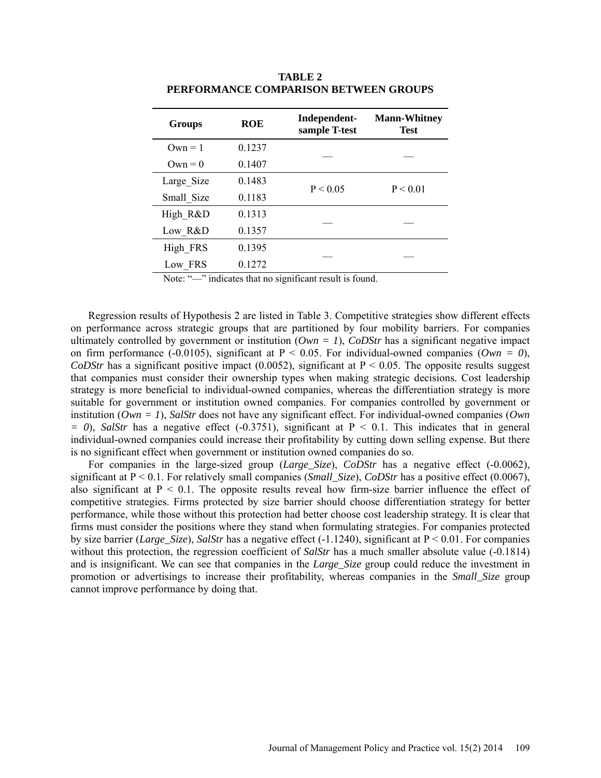| <b>Groups</b> | <b>ROE</b> | Independent-<br>sample T-test | <b>Mann-Whitney</b><br><b>Test</b> |  |  |
|---------------|------------|-------------------------------|------------------------------------|--|--|
| $Qwn = 1$     | 0.1237     |                               |                                    |  |  |
| $Qwn = 0$     | 0.1407     |                               |                                    |  |  |
| Large Size    | 0.1483     | P < 0.05                      | P < 0.01                           |  |  |
| Small Size    | 0.1183     |                               |                                    |  |  |
| High R&D      | 0.1313     |                               |                                    |  |  |
| Low R&D       | 0.1357     |                               |                                    |  |  |
| High FRS      | 0.1395     |                               |                                    |  |  |
| Low FRS       | 0.1272     |                               |                                    |  |  |

**TABLE 2 PERFORMANCE COMPARISON BETWEEN GROUPS**

Note: "—" indicates that no significant result is found.

Regression results of Hypothesis 2 are listed in Table 3. Competitive strategies show different effects on performance across strategic groups that are partitioned by four mobility barriers. For companies ultimately controlled by government or institution  $(Own = 1)$ ,  $CoDStr$  has a significant negative impact on firm performance (-0.0105), significant at  $P < 0.05$ . For individual-owned companies (*Own = 0*), *CoDStr* has a significant positive impact (0.0052), significant at  $P < 0.05$ . The opposite results suggest that companies must consider their ownership types when making strategic decisions. Cost leadership strategy is more beneficial to individual-owned companies, whereas the differentiation strategy is more suitable for government or institution owned companies. For companies controlled by government or institution (*Own = 1*), *SalStr* does not have any significant effect. For individual-owned companies (*Own*   $= 0$ ), *SalStr* has a negative effect (-0.3751), significant at P < 0.1. This indicates that in general individual-owned companies could increase their profitability by cutting down selling expense. But there is no significant effect when government or institution owned companies do so.

For companies in the large-sized group (*Large\_Size*), *CoDStr* has a negative effect (-0.0062), significant at P < 0.1. For relatively small companies (*Small\_Size*), *CoDStr* has a positive effect (0.0067), also significant at  $P \le 0.1$ . The opposite results reveal how firm-size barrier influence the effect of competitive strategies. Firms protected by size barrier should choose differentiation strategy for better performance, while those without this protection had better choose cost leadership strategy. It is clear that firms must consider the positions where they stand when formulating strategies. For companies protected by size barrier (*Large\_Size*), *SalStr* has a negative effect (-1.1240), significant at P < 0.01. For companies without this protection, the regression coefficient of *SalStr* has a much smaller absolute value (-0.1814) and is insignificant. We can see that companies in the *Large\_Size* group could reduce the investment in promotion or advertisings to increase their profitability, whereas companies in the *Small\_Size* group cannot improve performance by doing that.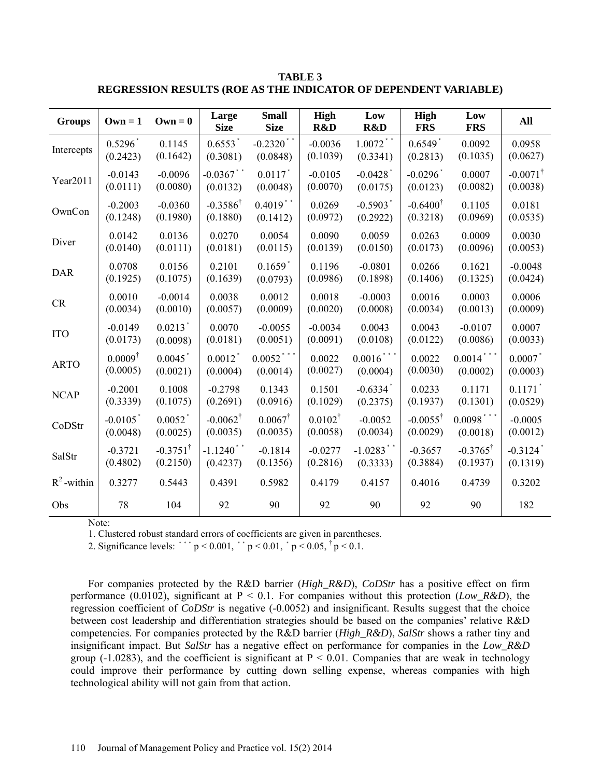| <b>Groups</b> | $Own = 1$              | $\bf{O}\bf{w}$ n = 0  | Large<br><b>Size</b>   | <b>Small</b><br><b>Size</b> | High<br>R&D        | Low<br>R&D             | High<br><b>FRS</b>     | Low<br><b>FRS</b>   | All                    |
|---------------|------------------------|-----------------------|------------------------|-----------------------------|--------------------|------------------------|------------------------|---------------------|------------------------|
| Intercepts    | $0.5296*$              | 0.1145                | $0.6553$ <sup>*</sup>  | $-0.2320$ **                | $-0.0036$          | $1.0072$ **            | $0.6549*$              | 0.0092              | 0.0958                 |
|               | (0.2423)               | (0.1642)              | (0.3081)               | (0.0848)                    | (0.1039)           | (0.3341)               | (0.2813)               | (0.1035)            | (0.0627)               |
| Year2011      | $-0.0143$              | $-0.0096$             | $-0.0367$ **           | $0.0117$ <sup>*</sup>       | $-0.0105$          | $-0.0428$ <sup>*</sup> | $-0.0296$ <sup>*</sup> | 0.0007              | $-0.0071^{\dagger}$    |
|               | (0.0111)               | (0.0080)              | (0.0132)               | (0.0048)                    | (0.0070)           | (0.0175)               | (0.0123)               | (0.0082)            | (0.0038)               |
| OwnCon        | $-0.2003$              | $-0.0360$             | $-0.3586^{\dagger}$    | $0.4019$ **                 | 0.0269             | $-0.5903$ <sup>*</sup> | $-0.6400^{\dagger}$    | 0.1105              | 0.0181                 |
|               | (0.1248)               | (0.1980)              | (0.1880)               | (0.1412)                    | (0.0972)           | (0.2922)               | (0.3218)               | (0.0969)            | (0.0535)               |
| Diver         | 0.0142                 | 0.0136                | 0.0270                 | 0.0054                      | 0.0090             | 0.0059                 | 0.0263                 | 0.0009              | 0.0030                 |
|               | (0.0140)               | (0.0111)              | (0.0181)               | (0.0115)                    | (0.0139)           | (0.0150)               | (0.0173)               | (0.0096)            | (0.0053)               |
| <b>DAR</b>    | 0.0708                 | 0.0156                | 0.2101                 | $0.1659$ <sup>*</sup>       | 0.1196             | $-0.0801$              | 0.0266                 | 0.1621              | $-0.0048$              |
|               | (0.1925)               | (0.1075)              | (0.1639)               | (0.0793)                    | (0.0986)           | (0.1898)               | (0.1406)               | (0.1325)            | (0.0424)               |
| <b>CR</b>     | 0.0010                 | $-0.0014$             | 0.0038                 | 0.0012                      | 0.0018             | $-0.0003$              | 0.0016                 | 0.0003              | 0.0006                 |
|               | (0.0034)               | (0.0010)              | (0.0057)               | (0.0009)                    | (0.0020)           | (0.0008)               | (0.0034)               | (0.0013)            | (0.0009)               |
| <b>ITO</b>    | $-0.0149$              | $0.0213$ <sup>*</sup> | 0.0070                 | $-0.0055$                   | $-0.0034$          | 0.0043                 | 0.0043                 | $-0.0107$           | 0.0007                 |
|               | (0.0173)               | (0.0098)              | (0.0181)               | (0.0051)                    | (0.0091)           | (0.0108)               | (0.0122)               | (0.0086)            | (0.0033)               |
| <b>ARTO</b>   | $0.0009^{\dagger}$     | $0.0045$ <sup>*</sup> | $0.0012$ <sup>*</sup>  | $0.0052$ ***                | 0.0022             | 0.0016                 | 0.0022                 | $0.0014$ ***        | 0.0007                 |
|               | (0.0005)               | (0.0021)              | (0.0004)               | (0.0014)                    | (0.0027)           | (0.0004)               | (0.0030)               | (0.0002)            | (0.0003)               |
| <b>NCAP</b>   | $-0.2001$              | 0.1008                | $-0.2798$              | 0.1343                      | 0.1501             | $-0.6334$ <sup>*</sup> | 0.0233                 | 0.1171              | $0.1171$ <sup>*</sup>  |
|               | (0.3339)               | (0.1075)              | (0.2691)               | (0.0916)                    | (0.1029)           | (0.2375)               | (0.1937)               | (0.1301)            | (0.0529)               |
| CoDStr        | $-0.0105$ <sup>*</sup> | $0.0052$ <sup>*</sup> | $-0.0062^{\dagger}$    | $0.0067^{\dagger}$          | $0.0102^{\dagger}$ | $-0.0052$              | $-0.0055^{\dagger}$    | $0.0098$ ***        | $-0.0005$              |
|               | (0.0048)               | (0.0025)              | (0.0035)               | (0.0035)                    | (0.0058)           | (0.0034)               | (0.0029)               | (0.0018)            | (0.0012)               |
| SalStr        | $-0.3721$              | $-0.3751^{\dagger}$   | $-1.1240$ <sup>*</sup> | $-0.1814$                   | $-0.0277$          | $-1.0283$ **           | $-0.3657$              | $-0.3765^{\dagger}$ | $-0.3124$ <sup>*</sup> |
|               | (0.4802)               | (0.2150)              | (0.4237)               | (0.1356)                    | (0.2816)           | (0.3333)               | (0.3884)               | (0.1937)            | (0.1319)               |
| $R^2$ -within | 0.3277                 | 0.5443                | 0.4391                 | 0.5982                      | 0.4179             | 0.4157                 | 0.4016                 | 0.4739              | 0.3202                 |
| Obs           | 78                     | 104                   | 92                     | 90                          | 92                 | 90                     | 92                     | 90                  | 182                    |

**TABLE 3 REGRESSION RESULTS (ROE AS THE INDICATOR OF DEPENDENT VARIABLE)**

Note:

1. Clustered robust standard errors of coefficients are given in parentheses.

2. Significance levels: ``  $p < 0.001$ , `  $p < 0.01$ ,  $p < 0.05$ ,  $p < 0.1$ .

For companies protected by the R&D barrier (*High\_R&D*), *CoDStr* has a positive effect on firm performance (0.0102), significant at  $P < 0.1$ . For companies without this protection (*Low R&D*), the regression coefficient of *CoDStr* is negative (-0.0052) and insignificant. Results suggest that the choice between cost leadership and differentiation strategies should be based on the companies' relative R&D competencies. For companies protected by the R&D barrier (*High\_R&D*), *SalStr* shows a rather tiny and insignificant impact. But *SalStr* has a negative effect on performance for companies in the *Low\_R&D* group (-1.0283), and the coefficient is significant at  $P < 0.01$ . Companies that are weak in technology could improve their performance by cutting down selling expense, whereas companies with high technological ability will not gain from that action.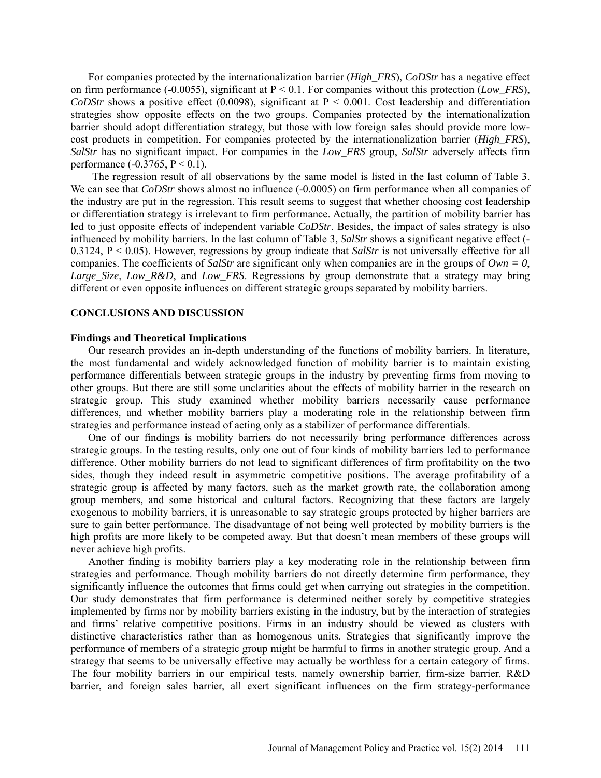For companies protected by the internationalization barrier (*High\_FRS*), *CoDStr* has a negative effect on firm performance (-0.0055), significant at P < 0.1. For companies without this protection (*Low\_FRS*), *CoDStr* shows a positive effect (0.0098), significant at  $P < 0.001$ . Cost leadership and differentiation strategies show opposite effects on the two groups. Companies protected by the internationalization barrier should adopt differentiation strategy, but those with low foreign sales should provide more lowcost products in competition. For companies protected by the internationalization barrier (*High\_FRS*), *SalStr* has no significant impact. For companies in the *Low\_FRS* group, *SalStr* adversely affects firm performance  $(-0.3765, P \le 0.1)$ .

The regression result of all observations by the same model is listed in the last column of Table 3. We can see that *CoDStr* shows almost no influence (-0.0005) on firm performance when all companies of the industry are put in the regression. This result seems to suggest that whether choosing cost leadership or differentiation strategy is irrelevant to firm performance. Actually, the partition of mobility barrier has led to just opposite effects of independent variable *CoDStr*. Besides, the impact of sales strategy is also influenced by mobility barriers. In the last column of Table 3, *SalStr* shows a significant negative effect (- 0.3124,  $P < 0.05$ ). However, regressions by group indicate that *SalStr* is not universally effective for all companies. The coefficients of *SalStr* are significant only when companies are in the groups of *Own = 0*, *Large\_Size*, *Low\_R&D*, and *Low\_FRS*. Regressions by group demonstrate that a strategy may bring different or even opposite influences on different strategic groups separated by mobility barriers.

## **CONCLUSIONS AND DISCUSSION**

#### **Findings and Theoretical Implications**

Our research provides an in-depth understanding of the functions of mobility barriers. In literature, the most fundamental and widely acknowledged function of mobility barrier is to maintain existing performance differentials between strategic groups in the industry by preventing firms from moving to other groups. But there are still some unclarities about the effects of mobility barrier in the research on strategic group. This study examined whether mobility barriers necessarily cause performance differences, and whether mobility barriers play a moderating role in the relationship between firm strategies and performance instead of acting only as a stabilizer of performance differentials.

One of our findings is mobility barriers do not necessarily bring performance differences across strategic groups. In the testing results, only one out of four kinds of mobility barriers led to performance difference. Other mobility barriers do not lead to significant differences of firm profitability on the two sides, though they indeed result in asymmetric competitive positions. The average profitability of a strategic group is affected by many factors, such as the market growth rate, the collaboration among group members, and some historical and cultural factors. Recognizing that these factors are largely exogenous to mobility barriers, it is unreasonable to say strategic groups protected by higher barriers are sure to gain better performance. The disadvantage of not being well protected by mobility barriers is the high profits are more likely to be competed away. But that doesn't mean members of these groups will never achieve high profits.

Another finding is mobility barriers play a key moderating role in the relationship between firm strategies and performance. Though mobility barriers do not directly determine firm performance, they significantly influence the outcomes that firms could get when carrying out strategies in the competition. Our study demonstrates that firm performance is determined neither sorely by competitive strategies implemented by firms nor by mobility barriers existing in the industry, but by the interaction of strategies and firms' relative competitive positions. Firms in an industry should be viewed as clusters with distinctive characteristics rather than as homogenous units. Strategies that significantly improve the performance of members of a strategic group might be harmful to firms in another strategic group. And a strategy that seems to be universally effective may actually be worthless for a certain category of firms. The four mobility barriers in our empirical tests, namely ownership barrier, firm-size barrier, R&D barrier, and foreign sales barrier, all exert significant influences on the firm strategy-performance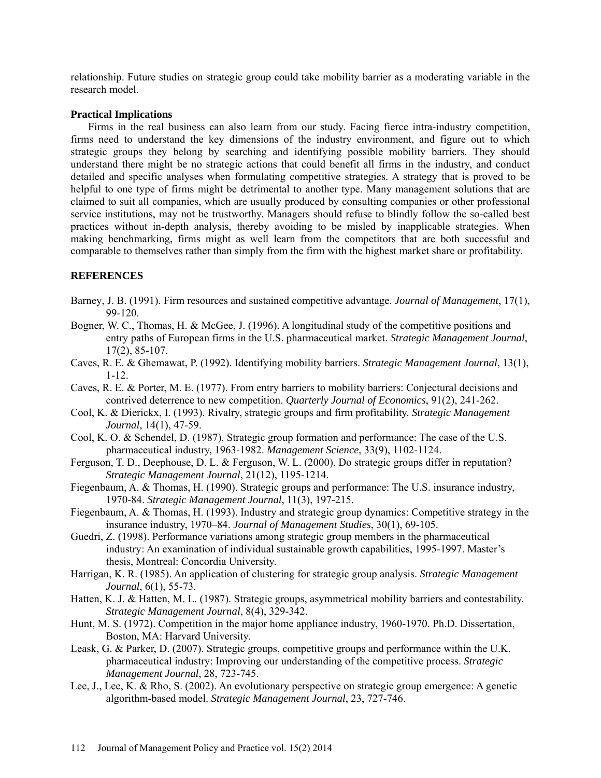relationship. Future studies on strategic group could take mobility barrier as a moderating variable in the research model.

## **Practical Implications**

Firms in the real business can also learn from our study. Facing fierce intra-industry competition, firms need to understand the key dimensions of the industry environment, and figure out to which strategic groups they belong by searching and identifying possible mobility barriers. They should understand there might be no strategic actions that could benefit all firms in the industry, and conduct detailed and specific analyses when formulating competitive strategies. A strategy that is proved to be helpful to one type of firms might be detrimental to another type. Many management solutions that are claimed to suit all companies, which are usually produced by consulting companies or other professional service institutions, may not be trustworthy. Managers should refuse to blindly follow the so-called best practices without in-depth analysis, thereby avoiding to be misled by inapplicable strategies. When making benchmarking, firms might as well learn from the competitors that are both successful and comparable to themselves rather than simply from the firm with the highest market share or profitability.

# **REFERENCES**

- Barney, J. B. (1991). Firm resources and sustained competitive advantage. *Journal of Management*, 17(1), 99-120.
- Bogner, W. C., Thomas, H. & McGee, J. (1996). A longitudinal study of the competitive positions and entry paths of European firms in the U.S. pharmaceutical market. *Strategic Management Journal*, 17(2), 85-107.
- Caves, R. E. & Ghemawat, P. (1992). Identifying mobility barriers. *Strategic Management Journal*, 13(1), 1-12.
- Caves, R. E. & Porter, M. E. (1977). From entry barriers to mobility barriers: Conjectural decisions and contrived deterrence to new competition. *Quarterly Journal of Economics*, 91(2), 241-262.
- Cool, K. & Dierickx, I. (1993). Rivalry, strategic groups and firm profitability. *Strategic Management Journal*, 14(1), 47-59.
- Cool, K. O. & Schendel, D. (1987). Strategic group formation and performance: The case of the U.S. pharmaceutical industry, 1963-1982. *Management Science*, 33(9), 1102-1124.
- Ferguson, T. D., Deephouse, D. L. & Ferguson, W. L. (2000). Do strategic groups differ in reputation? *Strategic Management Journal*, 21(12), 1195-1214.
- Fiegenbaum, A. & Thomas, H. (1990). Strategic groups and performance: The U.S. insurance industry, 1970-84. *Strategic Management Journal*, 11(3), 197-215.
- Fiegenbaum, A. & Thomas, H. (1993). Industry and strategic group dynamics: Competitive strategy in the insurance industry, 1970–84. *Journal of Management Studies*, 30(1), 69-105.
- Guedri, Z. (1998). Performance variations among strategic group members in the pharmaceutical industry: An examination of individual sustainable growth capabilities, 1995-1997. Master's thesis, Montreal: Concordia University.
- Harrigan, K. R. (1985). An application of clustering for strategic group analysis. *Strategic Management Journal*, 6(1), 55-73.
- Hatten, K. J. & Hatten, M. L. (1987). Strategic groups, asymmetrical mobility barriers and contestability. *Strategic Management Journal*, 8(4), 329-342.
- Hunt, M. S. (1972). Competition in the major home appliance industry, 1960-1970. Ph.D. Dissertation, Boston, MA: Harvard University.
- Leask, G. & Parker, D. (2007). Strategic groups, competitive groups and performance within the U.K. pharmaceutical industry: Improving our understanding of the competitive process. *Strategic Management Journal*, 28, 723-745.
- Lee, J., Lee, K. & Rho, S. (2002). An evolutionary perspective on strategic group emergence: A genetic algorithm-based model. *Strategic Management Journal*, 23, 727-746.